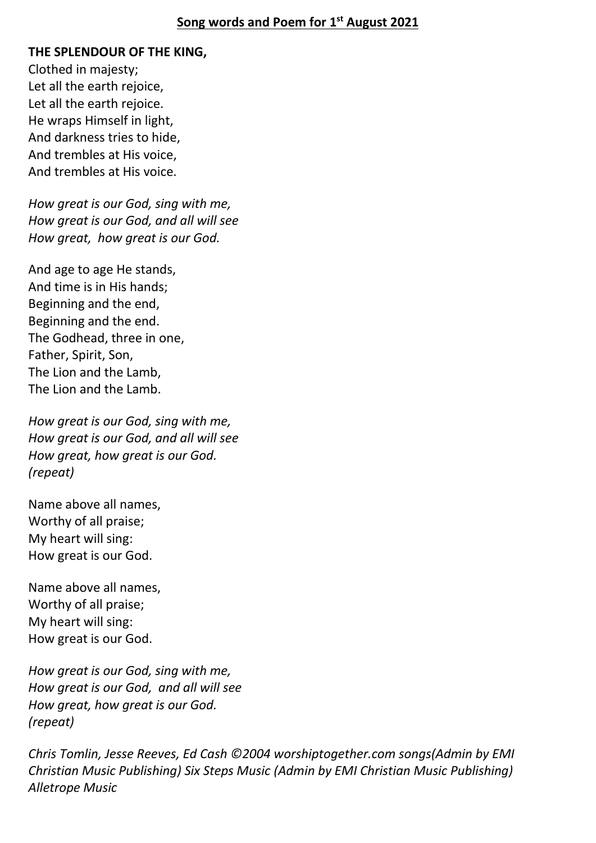## **THE SPLENDOUR OF THE KING,**

Clothed in majesty; Let all the earth rejoice, Let all the earth rejoice. He wraps Himself in light, And darkness tries to hide, And trembles at His voice, And trembles at His voice.

*How great is our God, sing with me, How great is our God, and all will see How great, how great is our God.*

And age to age He stands, And time is in His hands; Beginning and the end, Beginning and the end. The Godhead, three in one, Father, Spirit, Son, The Lion and the Lamb, The Lion and the Lamb.

*How great is our God, sing with me, How great is our God, and all will see How great, how great is our God. (repeat)*

Name above all names, Worthy of all praise; My heart will sing: How great is our God.

Name above all names, Worthy of all praise; My heart will sing: How great is our God.

*How great is our God, sing with me, How great is our God, and all will see How great, how great is our God. (repeat)*

*Chris Tomlin, Jesse Reeves, Ed Cash ©2004 worshiptogether.com songs(Admin by EMI Christian Music Publishing) Six Steps Music (Admin by EMI Christian Music Publishing) Alletrope Music*